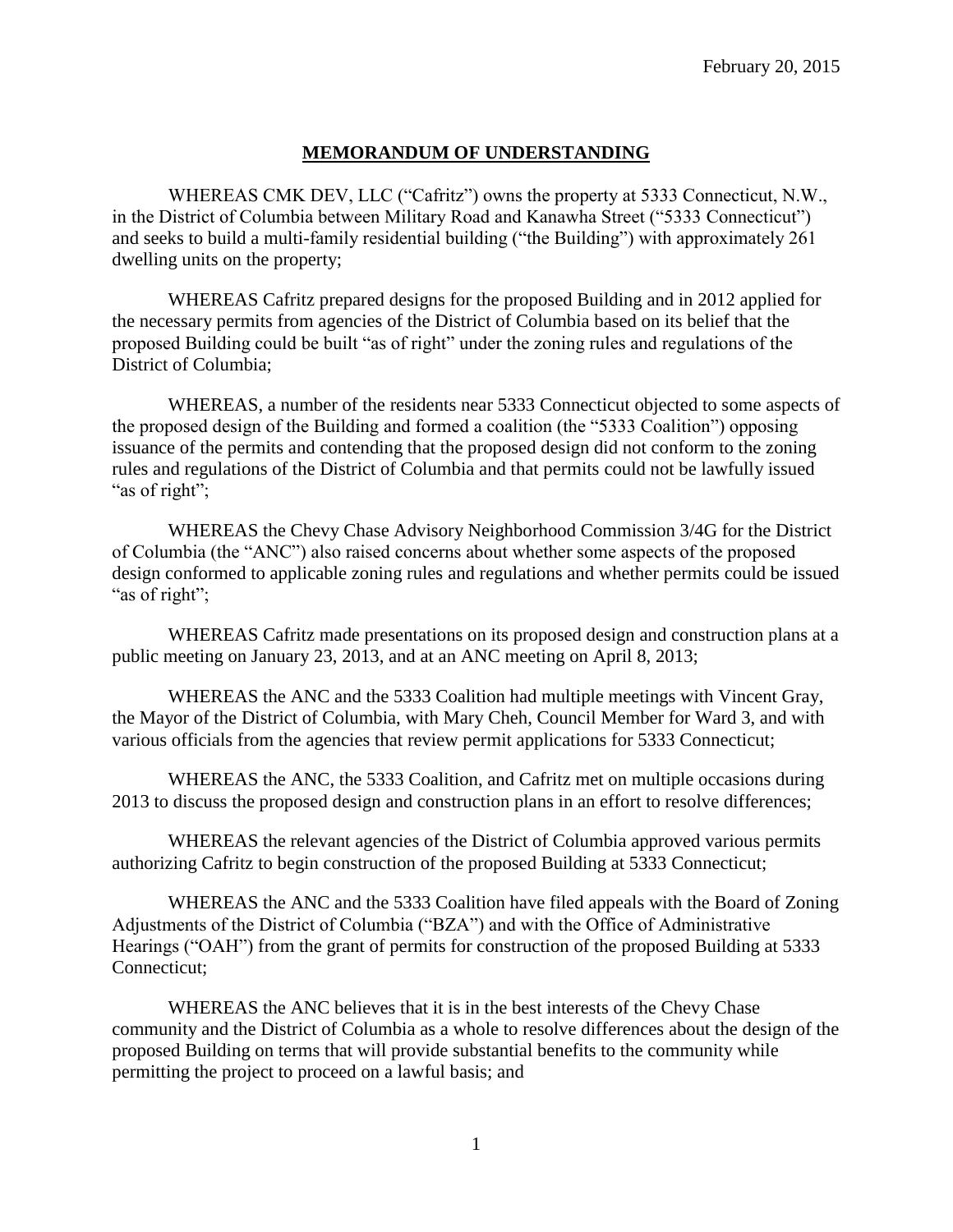## **MEMORANDUM OF UNDERSTANDING**

WHEREAS CMK DEV, LLC ("Cafritz") owns the property at 5333 Connecticut, N.W., in the District of Columbia between Military Road and Kanawha Street ("5333 Connecticut") and seeks to build a multi-family residential building ("the Building") with approximately 261 dwelling units on the property;

WHEREAS Cafritz prepared designs for the proposed Building and in 2012 applied for the necessary permits from agencies of the District of Columbia based on its belief that the proposed Building could be built "as of right" under the zoning rules and regulations of the District of Columbia;

WHEREAS, a number of the residents near 5333 Connecticut objected to some aspects of the proposed design of the Building and formed a coalition (the "5333 Coalition") opposing issuance of the permits and contending that the proposed design did not conform to the zoning rules and regulations of the District of Columbia and that permits could not be lawfully issued "as of right";

WHEREAS the Chevy Chase Advisory Neighborhood Commission 3/4G for the District of Columbia (the "ANC") also raised concerns about whether some aspects of the proposed design conformed to applicable zoning rules and regulations and whether permits could be issued "as of right";

WHEREAS Cafritz made presentations on its proposed design and construction plans at a public meeting on January 23, 2013, and at an ANC meeting on April 8, 2013;

WHEREAS the ANC and the 5333 Coalition had multiple meetings with Vincent Gray, the Mayor of the District of Columbia, with Mary Cheh, Council Member for Ward 3, and with various officials from the agencies that review permit applications for 5333 Connecticut;

WHEREAS the ANC, the 5333 Coalition, and Cafritz met on multiple occasions during 2013 to discuss the proposed design and construction plans in an effort to resolve differences;

WHEREAS the relevant agencies of the District of Columbia approved various permits authorizing Cafritz to begin construction of the proposed Building at 5333 Connecticut;

WHEREAS the ANC and the 5333 Coalition have filed appeals with the Board of Zoning Adjustments of the District of Columbia ("BZA") and with the Office of Administrative Hearings ("OAH") from the grant of permits for construction of the proposed Building at 5333 Connecticut;

WHEREAS the ANC believes that it is in the best interests of the Chevy Chase community and the District of Columbia as a whole to resolve differences about the design of the proposed Building on terms that will provide substantial benefits to the community while permitting the project to proceed on a lawful basis; and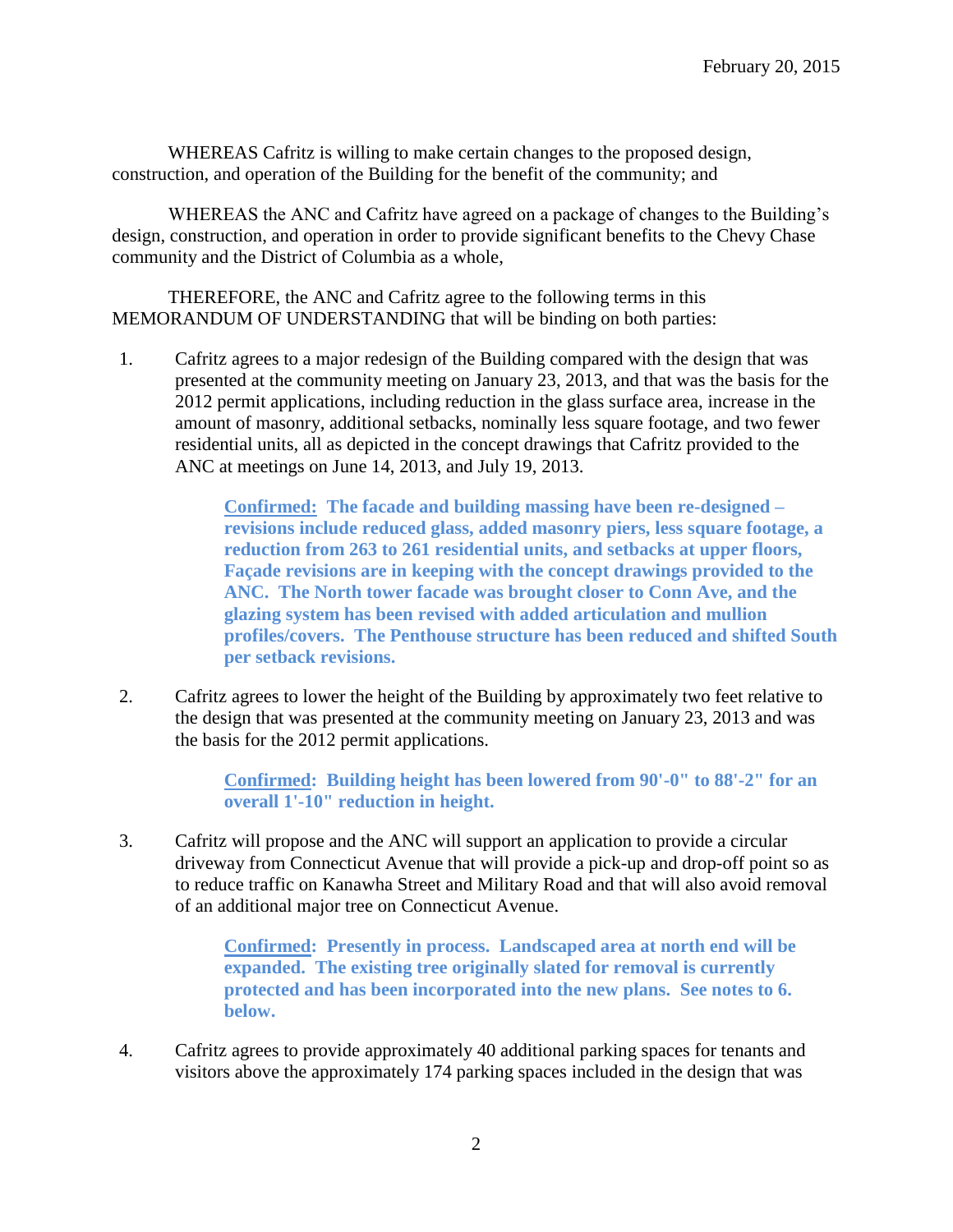WHEREAS Cafritz is willing to make certain changes to the proposed design, construction, and operation of the Building for the benefit of the community; and

WHEREAS the ANC and Cafritz have agreed on a package of changes to the Building's design, construction, and operation in order to provide significant benefits to the Chevy Chase community and the District of Columbia as a whole,

THEREFORE, the ANC and Cafritz agree to the following terms in this MEMORANDUM OF UNDERSTANDING that will be binding on both parties:

1. Cafritz agrees to a major redesign of the Building compared with the design that was presented at the community meeting on January 23, 2013, and that was the basis for the 2012 permit applications, including reduction in the glass surface area, increase in the amount of masonry, additional setbacks, nominally less square footage, and two fewer residential units, all as depicted in the concept drawings that Cafritz provided to the ANC at meetings on June 14, 2013, and July 19, 2013.

> **Confirmed: The facade and building massing have been re-designed – revisions include reduced glass, added masonry piers, less square footage, a reduction from 263 to 261 residential units, and setbacks at upper floors, Façade revisions are in keeping with the concept drawings provided to the ANC. The North tower facade was brought closer to Conn Ave, and the glazing system has been revised with added articulation and mullion profiles/covers. The Penthouse structure has been reduced and shifted South per setback revisions.**

2. Cafritz agrees to lower the height of the Building by approximately two feet relative to the design that was presented at the community meeting on January 23, 2013 and was the basis for the 2012 permit applications.

> **Confirmed: Building height has been lowered from 90'-0" to 88'-2" for an overall 1'-10" reduction in height.**

3. Cafritz will propose and the ANC will support an application to provide a circular driveway from Connecticut Avenue that will provide a pick-up and drop-off point so as to reduce traffic on Kanawha Street and Military Road and that will also avoid removal of an additional major tree on Connecticut Avenue.

> **Confirmed: Presently in process. Landscaped area at north end will be expanded. The existing tree originally slated for removal is currently protected and has been incorporated into the new plans. See notes to 6. below.**

4. Cafritz agrees to provide approximately 40 additional parking spaces for tenants and visitors above the approximately 174 parking spaces included in the design that was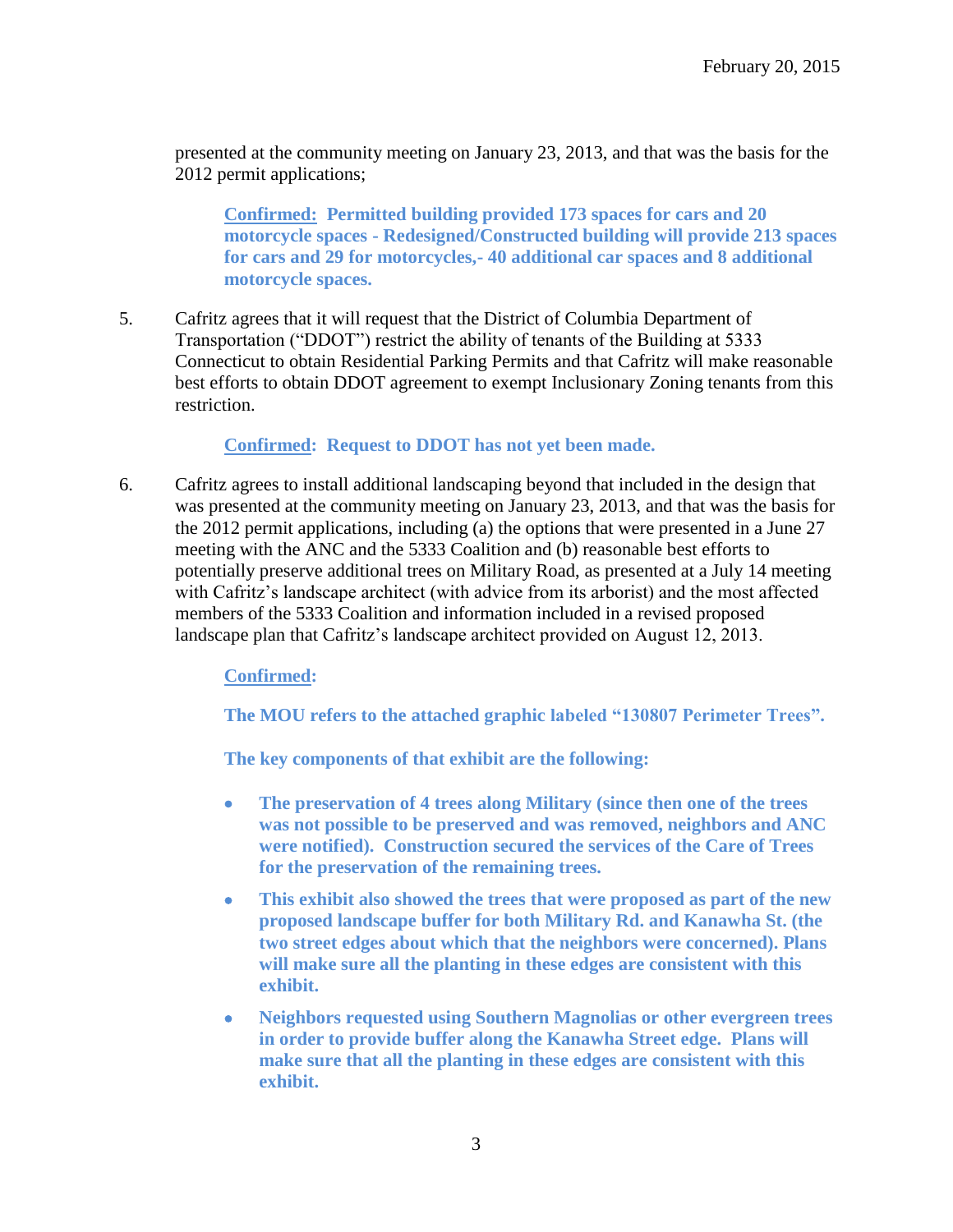presented at the community meeting on January 23, 2013, and that was the basis for the 2012 permit applications;

**Confirmed: Permitted building provided 173 spaces for cars and 20 motorcycle spaces - Redesigned/Constructed building will provide 213 spaces for cars and 29 for motorcycles,- 40 additional car spaces and 8 additional motorcycle spaces.**

5. Cafritz agrees that it will request that the District of Columbia Department of Transportation ("DDOT") restrict the ability of tenants of the Building at 5333 Connecticut to obtain Residential Parking Permits and that Cafritz will make reasonable best efforts to obtain DDOT agreement to exempt Inclusionary Zoning tenants from this restriction.

**Confirmed: Request to DDOT has not yet been made.**

6. Cafritz agrees to install additional landscaping beyond that included in the design that was presented at the community meeting on January 23, 2013, and that was the basis for the 2012 permit applications, including (a) the options that were presented in a June 27 meeting with the ANC and the 5333 Coalition and (b) reasonable best efforts to potentially preserve additional trees on Military Road, as presented at a July 14 meeting with Cafritz's landscape architect (with advice from its arborist) and the most affected members of the 5333 Coalition and information included in a revised proposed landscape plan that Cafritz's landscape architect provided on August 12, 2013.

**Confirmed:**

**The MOU refers to the attached graphic labeled "130807 Perimeter Trees".**

**The key components of that exhibit are the following:**

- **The preservation of 4 trees along Military (since then one of the trees was not possible to be preserved and was removed, neighbors and ANC were notified). Construction secured the services of the Care of Trees for the preservation of the remaining trees.**
- **This exhibit also showed the trees that were proposed as part of the new proposed landscape buffer for both Military Rd. and Kanawha St. (the two street edges about which that the neighbors were concerned). Plans will make sure all the planting in these edges are consistent with this exhibit.**
- **Neighbors requested using Southern Magnolias or other evergreen trees in order to provide buffer along the Kanawha Street edge. Plans will make sure that all the planting in these edges are consistent with this exhibit.**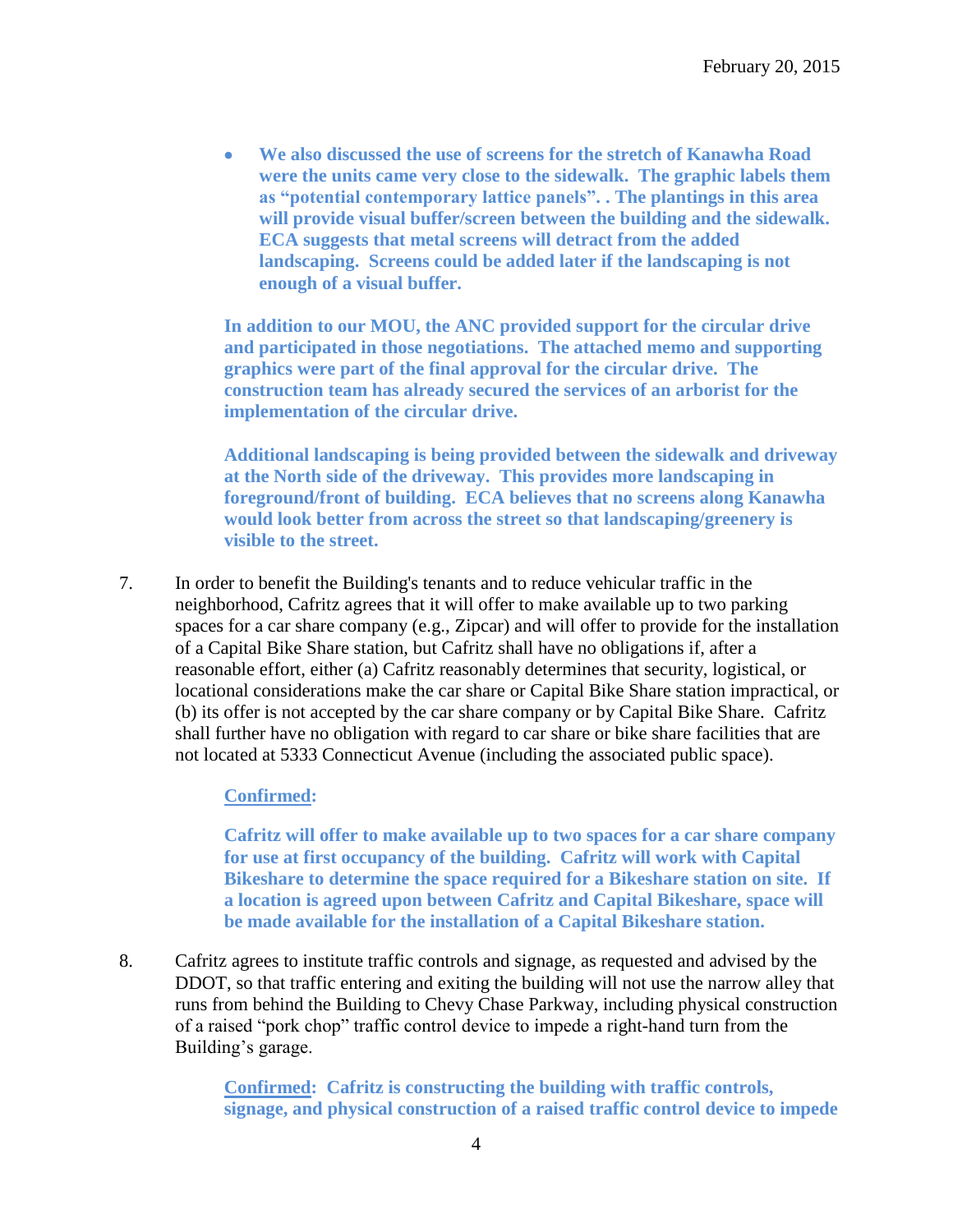**We also discussed the use of screens for the stretch of Kanawha Road were the units came very close to the sidewalk. The graphic labels them as "potential contemporary lattice panels". . The plantings in this area will provide visual buffer/screen between the building and the sidewalk. ECA suggests that metal screens will detract from the added landscaping. Screens could be added later if the landscaping is not enough of a visual buffer.**

**In addition to our MOU, the ANC provided support for the circular drive and participated in those negotiations. The attached memo and supporting graphics were part of the final approval for the circular drive. The construction team has already secured the services of an arborist for the implementation of the circular drive.** 

**Additional landscaping is being provided between the sidewalk and driveway at the North side of the driveway. This provides more landscaping in foreground/front of building. ECA believes that no screens along Kanawha would look better from across the street so that landscaping/greenery is visible to the street.** 

7. In order to benefit the Building's tenants and to reduce vehicular traffic in the neighborhood, Cafritz agrees that it will offer to make available up to two parking spaces for a car share company (e.g., Zipcar) and will offer to provide for the installation of a Capital Bike Share station, but Cafritz shall have no obligations if, after a reasonable effort, either (a) Cafritz reasonably determines that security, logistical, or locational considerations make the car share or Capital Bike Share station impractical, or (b) its offer is not accepted by the car share company or by Capital Bike Share. Cafritz shall further have no obligation with regard to car share or bike share facilities that are not located at 5333 Connecticut Avenue (including the associated public space).

## **Confirmed:**

**Cafritz will offer to make available up to two spaces for a car share company for use at first occupancy of the building. Cafritz will work with Capital Bikeshare to determine the space required for a Bikeshare station on site. If a location is agreed upon between Cafritz and Capital Bikeshare, space will be made available for the installation of a Capital Bikeshare station.**

8. Cafritz agrees to institute traffic controls and signage, as requested and advised by the DDOT, so that traffic entering and exiting the building will not use the narrow alley that runs from behind the Building to Chevy Chase Parkway, including physical construction of a raised "pork chop" traffic control device to impede a right-hand turn from the Building's garage.

> **Confirmed: Cafritz is constructing the building with traffic controls, signage, and physical construction of a raised traffic control device to impede**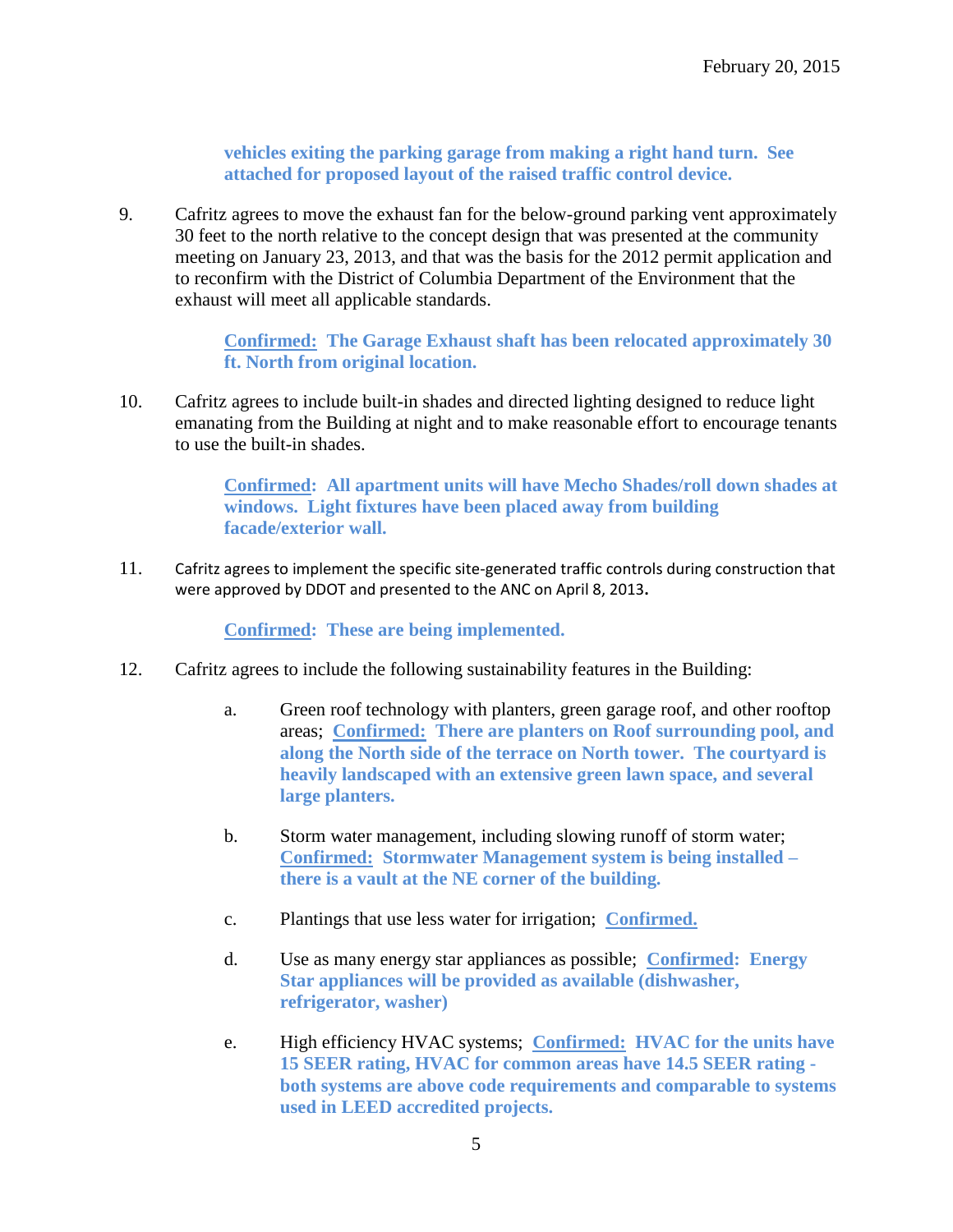**vehicles exiting the parking garage from making a right hand turn. See attached for proposed layout of the raised traffic control device.**

9. Cafritz agrees to move the exhaust fan for the below-ground parking vent approximately 30 feet to the north relative to the concept design that was presented at the community meeting on January 23, 2013, and that was the basis for the 2012 permit application and to reconfirm with the District of Columbia Department of the Environment that the exhaust will meet all applicable standards.

> **Confirmed: The Garage Exhaust shaft has been relocated approximately 30 ft. North from original location.**

10. Cafritz agrees to include built-in shades and directed lighting designed to reduce light emanating from the Building at night and to make reasonable effort to encourage tenants to use the built-in shades.

> **Confirmed: All apartment units will have Mecho Shades/roll down shades at windows. Light fixtures have been placed away from building facade/exterior wall.**

11. Cafritz agrees to implement the specific site-generated traffic controls during construction that were approved by DDOT and presented to the ANC on April 8, 2013**.**

**Confirmed: These are being implemented.**

- 12. Cafritz agrees to include the following sustainability features in the Building:
	- a. Green roof technology with planters, green garage roof, and other rooftop areas; **Confirmed: There are planters on Roof surrounding pool, and along the North side of the terrace on North tower. The courtyard is heavily landscaped with an extensive green lawn space, and several large planters.**
	- b. Storm water management, including slowing runoff of storm water; **Confirmed: Stormwater Management system is being installed – there is a vault at the NE corner of the building.**
	- c. Plantings that use less water for irrigation; **Confirmed.**
	- d. Use as many energy star appliances as possible; **Confirmed: Energy Star appliances will be provided as available (dishwasher, refrigerator, washer)**
	- e. High efficiency HVAC systems; **Confirmed: HVAC for the units have 15 SEER rating, HVAC for common areas have 14.5 SEER rating both systems are above code requirements and comparable to systems used in LEED accredited projects.**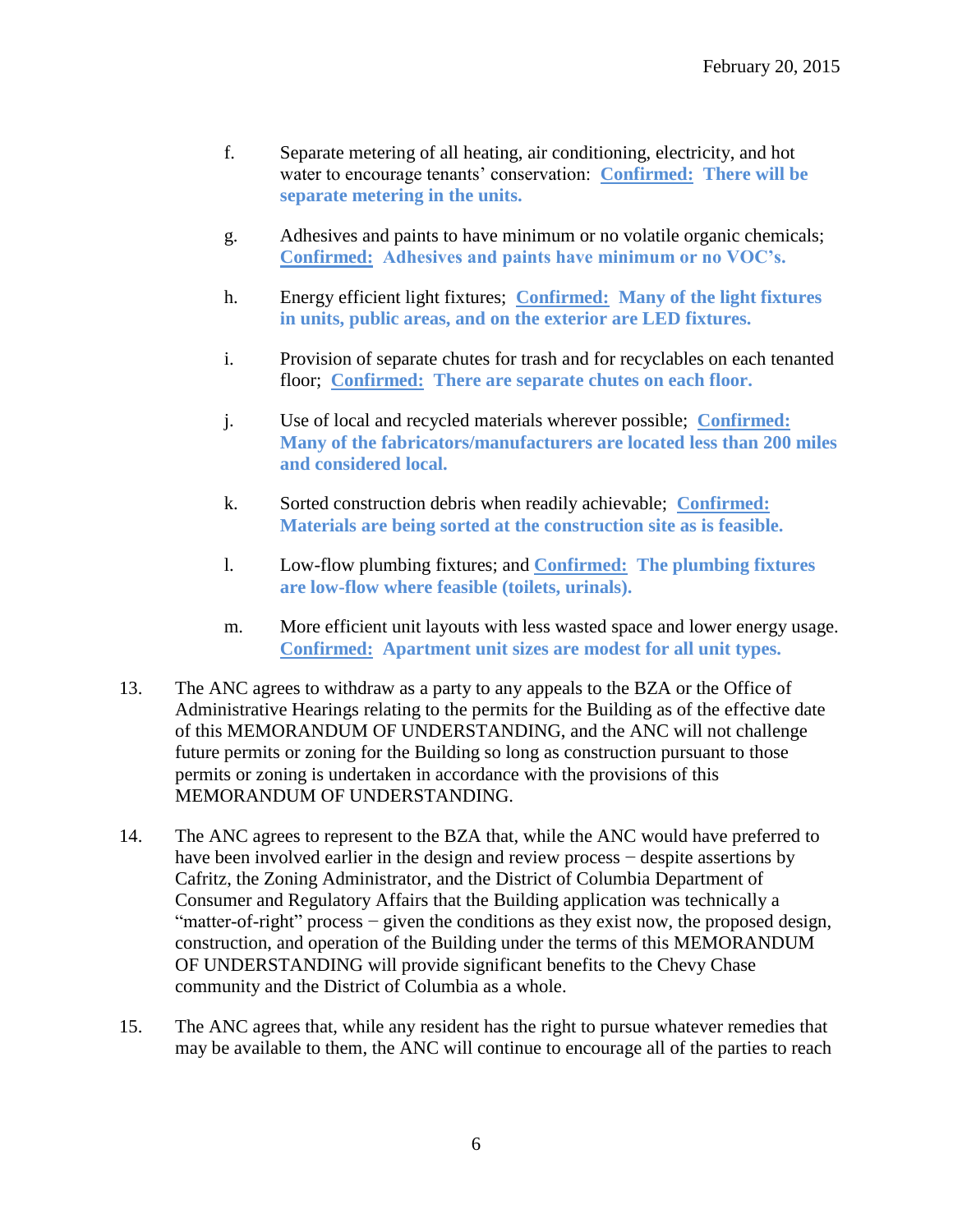- f. Separate metering of all heating, air conditioning, electricity, and hot water to encourage tenants' conservation: **Confirmed: There will be separate metering in the units.**
- g. Adhesives and paints to have minimum or no volatile organic chemicals; **Confirmed: Adhesives and paints have minimum or no VOC's.**
- h. Energy efficient light fixtures; **Confirmed: Many of the light fixtures in units, public areas, and on the exterior are LED fixtures.**
- i. Provision of separate chutes for trash and for recyclables on each tenanted floor; **Confirmed: There are separate chutes on each floor.**
- j. Use of local and recycled materials wherever possible; **Confirmed: Many of the fabricators/manufacturers are located less than 200 miles and considered local.**
- k. Sorted construction debris when readily achievable; **Confirmed: Materials are being sorted at the construction site as is feasible.**
- l. Low-flow plumbing fixtures; and **Confirmed: The plumbing fixtures are low-flow where feasible (toilets, urinals).**
- m. More efficient unit layouts with less wasted space and lower energy usage. **Confirmed: Apartment unit sizes are modest for all unit types.**
- 13. The ANC agrees to withdraw as a party to any appeals to the BZA or the Office of Administrative Hearings relating to the permits for the Building as of the effective date of this MEMORANDUM OF UNDERSTANDING, and the ANC will not challenge future permits or zoning for the Building so long as construction pursuant to those permits or zoning is undertaken in accordance with the provisions of this MEMORANDUM OF UNDERSTANDING.
- 14. The ANC agrees to represent to the BZA that, while the ANC would have preferred to have been involved earlier in the design and review process − despite assertions by Cafritz, the Zoning Administrator, and the District of Columbia Department of Consumer and Regulatory Affairs that the Building application was technically a "matter-of-right" process − given the conditions as they exist now, the proposed design, construction, and operation of the Building under the terms of this MEMORANDUM OF UNDERSTANDING will provide significant benefits to the Chevy Chase community and the District of Columbia as a whole.
- 15. The ANC agrees that, while any resident has the right to pursue whatever remedies that may be available to them, the ANC will continue to encourage all of the parties to reach